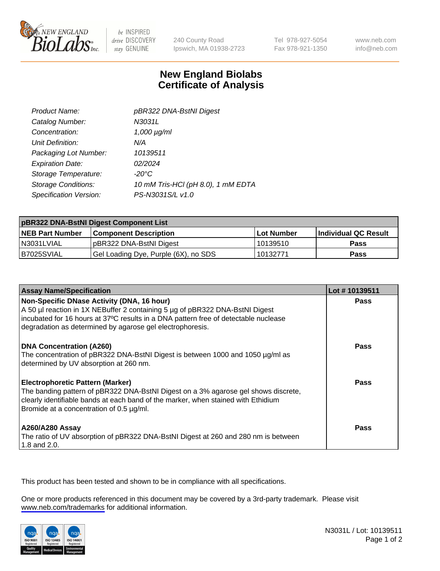

be INSPIRED drive DISCOVERY stay GENUINE

240 County Road Ipswich, MA 01938-2723 Tel 978-927-5054 Fax 978-921-1350

www.neb.com info@neb.com

## **New England Biolabs Certificate of Analysis**

| Product Name:              | pBR322 DNA-BstNI Digest            |
|----------------------------|------------------------------------|
| Catalog Number:            | N3031L                             |
| Concentration:             | $1,000 \mu g/ml$                   |
| Unit Definition:           | N/A                                |
| Packaging Lot Number:      | 10139511                           |
| <b>Expiration Date:</b>    | 02/2024                            |
| Storage Temperature:       | $-20^{\circ}$ C                    |
| <b>Storage Conditions:</b> | 10 mM Tris-HCl (pH 8.0), 1 mM EDTA |
| Specification Version:     | PS-N3031S/L v1.0                   |

| pBR322 DNA-BstNI Digest Component List |                                      |            |                      |  |
|----------------------------------------|--------------------------------------|------------|----------------------|--|
| <b>NEB Part Number</b>                 | <b>Component Description</b>         | Lot Number | Individual QC Result |  |
| N3031LVIAL                             | pBR322 DNA-BstNI Digest              | 10139510   | <b>Pass</b>          |  |
| B7025SVIAL                             | Gel Loading Dye, Purple (6X), no SDS | 10132771   | <b>Pass</b>          |  |

| <b>Assay Name/Specification</b>                                                                                                                                                                                                                                                | Lot #10139511 |
|--------------------------------------------------------------------------------------------------------------------------------------------------------------------------------------------------------------------------------------------------------------------------------|---------------|
| Non-Specific DNase Activity (DNA, 16 hour)<br>A 50 µl reaction in 1X NEBuffer 2 containing 5 µg of pBR322 DNA-BstNI Digest<br>incubated for 16 hours at 37°C results in a DNA pattern free of detectable nuclease<br>degradation as determined by agarose gel electrophoresis. | <b>Pass</b>   |
| <b>DNA Concentration (A260)</b><br>The concentration of pBR322 DNA-BstNI Digest is between 1000 and 1050 µg/ml as<br>determined by UV absorption at 260 nm.                                                                                                                    | Pass          |
| <b>Electrophoretic Pattern (Marker)</b><br>The banding pattern of pBR322 DNA-BstNI Digest on a 3% agarose gel shows discrete,<br>clearly identifiable bands at each band of the marker, when stained with Ethidium<br>Bromide at a concentration of 0.5 µg/ml.                 | Pass          |
| <b>A260/A280 Assay</b><br>The ratio of UV absorption of pBR322 DNA-BstNI Digest at 260 and 280 nm is between<br>1.8 and 2.0.                                                                                                                                                   | <b>Pass</b>   |

This product has been tested and shown to be in compliance with all specifications.

One or more products referenced in this document may be covered by a 3rd-party trademark. Please visit <www.neb.com/trademarks>for additional information.